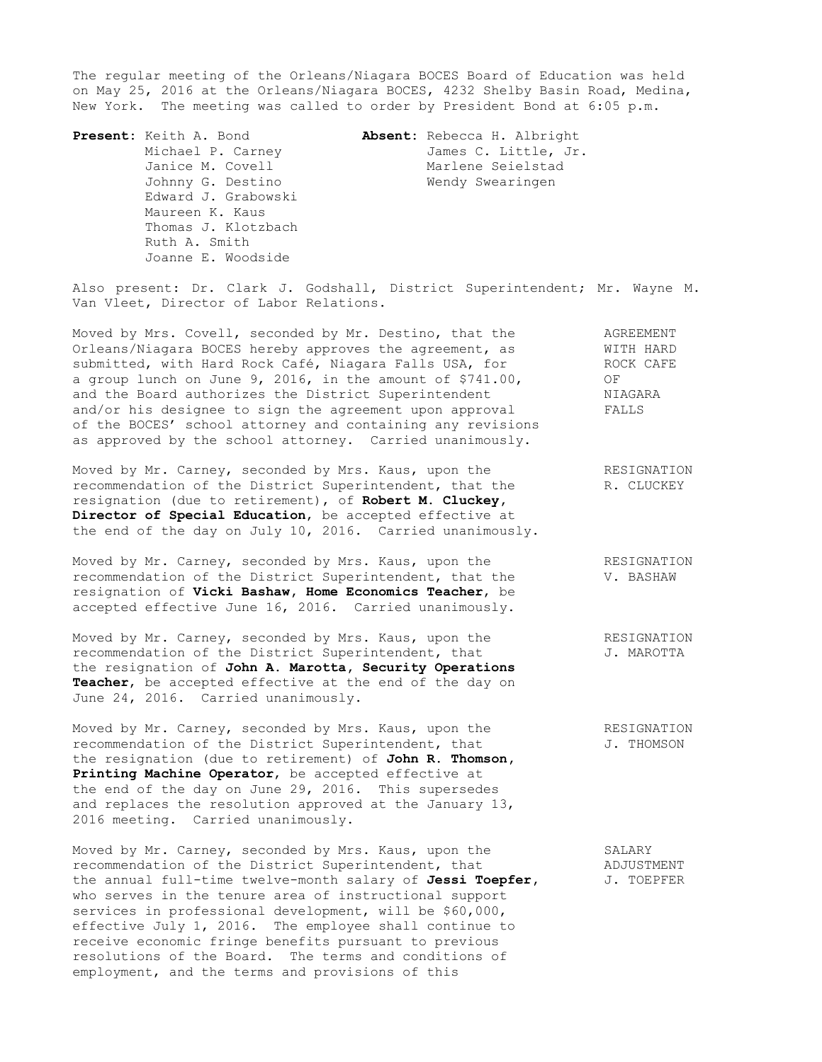The regular meeting of the Orleans/Niagara BOCES Board of Education was held on May 25, 2016 at the Orleans/Niagara BOCES, 4232 Shelby Basin Road, Medina, New York. The meeting was called to order by President Bond at 6:05 p.m.

 Edward J. Grabowski Maureen K. Kaus Thomas J. Klotzbach Ruth A. Smith Joanne E. Woodside

**Present:** Keith A. Bond **Absent:** Rebecca H. Albright Michael P. Carney **James C. Little, Jr.** Janice M. Covell **Marlene** Seielstad Johnny G. Destino Nendy Swearingen

Also present: Dr. Clark J. Godshall, District Superintendent; Mr. Wayne M. Van Vleet, Director of Labor Relations.

Moved by Mrs. Covell, seconded by Mr. Destino, that the AGREEMENT Orleans/Niagara BOCES hereby approves the agreement, as WITH HARD submitted, with Hard Rock Café, Niagara Falls USA, for ROCK CAFE a group lunch on June 9, 2016, in the amount of \$741.00,  $O_F$ and the Board authorizes the District Superintendent MIAGARA and/or his designee to sign the agreement upon approval FALLS of the BOCES' school attorney and containing any revisions as approved by the school attorney. Carried unanimously.

Moved by Mr. Carney, seconded by Mrs. Kaus, upon the RESIGNATION recommendation of the District Superintendent, that the R. CLUCKEY recommendation of the District Superintendent, that the resignation (due to retirement), of **Robert M. Cluckey, Director of Special Education**, be accepted effective at the end of the day on July 10, 2016. Carried unanimously.

Moved by Mr. Carney, seconded by Mrs. Kaus, upon the **RESIGNATION** recommendation of the District Superintendent, that the V. BASHAW resignation of **Vicki Bashaw, Home Economics Teacher**, be accepted effective June 16, 2016. Carried unanimously.

Moved by Mr. Carney, seconded by Mrs. Kaus, upon the RESIGNATION recommendation of the District Superintendent, that J. MAROTTA recommendation of the District Superintendent, that the resignation of **John A. Marotta, Security Operations Teacher**, be accepted effective at the end of the day on June 24, 2016. Carried unanimously.

Moved by Mr. Carney, seconded by Mrs. Kaus, upon the RESIGNATION recommendation of the District Superintendent, that  $J.$  THOMSON the resignation (due to retirement) of **John R. Thomson, Printing Machine Operator**, be accepted effective at the end of the day on June 29, 2016. This supersedes and replaces the resolution approved at the January 13, 2016 meeting. Carried unanimously.

Moved by Mr. Carney, seconded by Mrs. Kaus, upon the SALARY<br>
recommendation of the District Superintendent, that SADJUSTMENT recommendation of the District Superintendent, that the annual full-time twelve-month salary of Jessi Toepfer, J. TOEPFER who serves in the tenure area of instructional support services in professional development, will be \$60,000, effective July 1, 2016. The employee shall continue to receive economic fringe benefits pursuant to previous resolutions of the Board. The terms and conditions of employment, and the terms and provisions of this